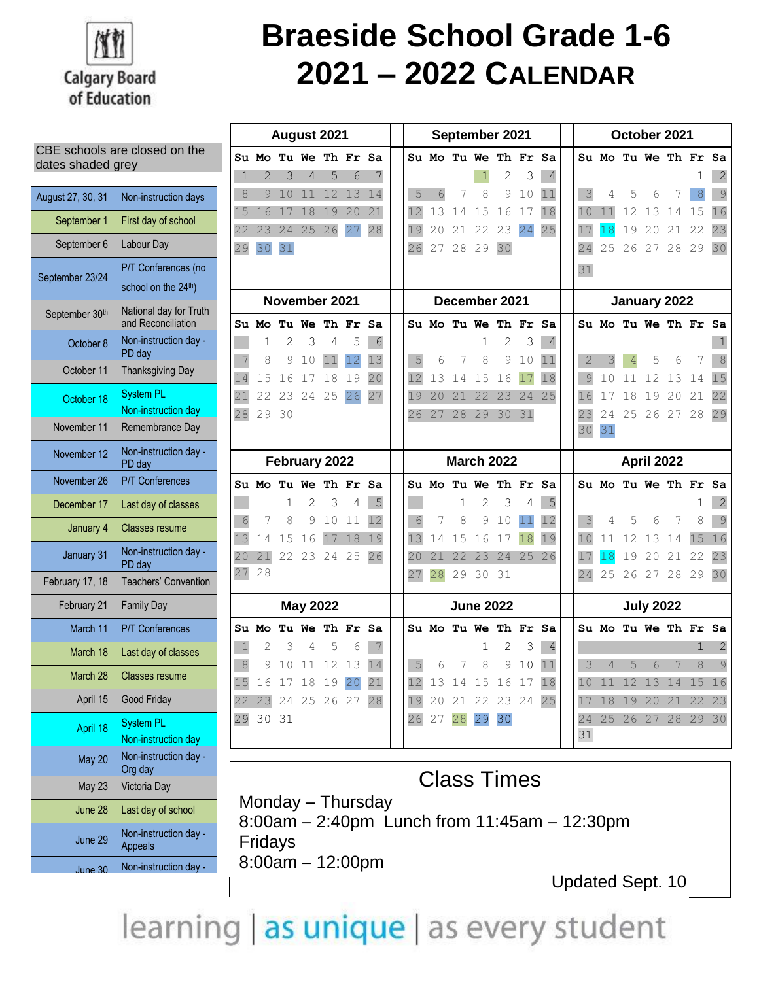

# **Braeside School Grade 1-6 2021 – 2022 CALENDAR**

|                   |                                              |             |                      |          |                 | August 2021    |          |                                            |                          |  |
|-------------------|----------------------------------------------|-------------|----------------------|----------|-----------------|----------------|----------|--------------------------------------------|--------------------------|--|
| dates shaded grey | CBE schools are closed on the                |             | Su Mo Tu We Th Fr    |          |                 |                |          | Sa                                         | Su l                     |  |
|                   |                                              | $\mathbf 1$ | $\overline{2}$       | 3        | 4               | 5              | 6        | 7                                          |                          |  |
| August 27, 30, 31 | Non-instruction days                         | 8           | 9                    | 10       | 11              | 12             | 13       | 14                                         | 5                        |  |
| September 1       | First day of school                          | 15<br>22    | 16<br>23             | 17<br>24 | 18<br>25        | 19             | 20       | 21                                         | 12                       |  |
| September 6       | Labour Day                                   | 29          | 30                   | 31       |                 | 26             | 27       | 28                                         | 19<br>26                 |  |
|                   | P/T Conferences (no                          |             |                      |          |                 |                |          |                                            |                          |  |
| September 23/24   | school on the 24th)                          |             |                      |          |                 |                |          |                                            |                          |  |
| September 30th    | National day for Truth<br>and Reconciliation |             | Su Mo Tu We Th Fr Sa |          |                 | November 2021  |          |                                            | Su l                     |  |
| October 8         | Non-instruction day -<br>PD day              |             | 1                    | 2        | 3               | 4              | 5        | 6                                          |                          |  |
| October 11        | <b>Thanksgiving Day</b>                      | 7<br>14     | 8<br>15              | 9<br>16  | 10<br>17        | 11<br>18       | 12<br>19 | 13<br>20                                   | $\mathsf S$<br>12        |  |
| October 18        | <b>System PL</b>                             | 21          | 22                   | 23       | 24              | 25             | 26       | 27                                         | 19                       |  |
|                   | Non-instruction day                          | 28          | 29                   | 30       |                 |                |          |                                            | 26                       |  |
| November 11       | Remembrance Day                              |             |                      |          |                 |                |          |                                            |                          |  |
| November 12       | Non-instruction day -<br>PD day              |             |                      |          |                 | February 2022  |          |                                            |                          |  |
| November 26       | <b>P/T Conferences</b>                       |             | Su Mo Tu We Th Fr    |          |                 |                |          | Sa                                         | Su l                     |  |
| December 17       | Last day of classes                          |             |                      | 1        | 2               | 3              | 4        | 5                                          |                          |  |
| January 4         | <b>Classes resume</b>                        | 6<br>13     | 7                    | 8        | 9               | 10             | 11       | 12                                         | 6<br>13                  |  |
| January 31        | Non-instruction day -<br>PD day              | 20          | 14<br>21             | 15<br>22 | 16<br>23        | 17<br>24       | 18<br>25 | 19<br>26                                   | 20                       |  |
| February 17, 18   | Teachers' Convention                         | 27          | 28                   |          |                 |                |          |                                            | 27                       |  |
| February 21       | <b>Family Day</b>                            |             |                      |          | <b>May 2022</b> |                |          |                                            |                          |  |
| March 11          | <b>P/T Conferences</b>                       |             | Su Mo Tu We Th Fr Sa |          |                 |                |          |                                            | Su l                     |  |
| March 18          | Last day of classes                          | 1           | 2                    | 3        | 4               | 5              | 6        | 7                                          |                          |  |
| March 28          | <b>Classes resume</b>                        | 8<br>5<br>1 | 9<br>16              | 10<br>17 | 11<br>18        | 12<br>19       | 13<br>20 | 14<br>21                                   | 5<br>$\overline{2}$<br>1 |  |
| April 15          | Good Friday                                  | 22          | 23                   |          |                 | 24 25 26 27 28 |          |                                            | 19                       |  |
| April 18          | <b>System PL</b><br>Non-instruction day      | 29          | 30                   | 31       |                 |                |          |                                            | 26                       |  |
| May 20            | Non-instruction day -<br>Org day             |             |                      |          |                 |                |          |                                            |                          |  |
| May 23            | Victoria Day                                 |             |                      |          |                 |                |          |                                            |                          |  |
| June 28           | Last day of school                           |             |                      |          |                 |                |          | Monday – Thursday<br>8:00am - 2:40pm Lunch |                          |  |
| June 29           | Non-instruction day -<br>Appeals             |             | Fridays              |          |                 |                |          |                                            |                          |  |
| June 30           | Non-instruction day -                        |             | $8:00am - 12:00pm$   |          |                 |                |          |                                            |                          |  |

|                | August 2021       |                     |       |    |    |          |          |              | September 2021       |          |          |                | October 2021 |          |                      |                  |          |          |          |
|----------------|-------------------|---------------------|-------|----|----|----------|----------|--------------|----------------------|----------|----------|----------------|--------------|----------|----------------------|------------------|----------|----------|----------|
|                | Mo Tu We Th Fr Sa |                     |       |    |    |          |          |              | Su Mo Tu We Th Fr Sa |          |          |                |              |          | Su Mo Tu We Th Fr    |                  |          |          | Sa       |
| $\overline{2}$ | 3                 | 4                   | 5     | 6  | 7  |          |          |              | 1                    | 2        | 3        | $\overline{4}$ |              |          |                      |                  |          | 1        | 2        |
| 9              | 10                | 11                  | 12    | 13 | 14 | 5        | 6        | 7            | 8                    | 9        | 10       | 11             | 3            | 4        | 5                    | 6                | 7        | 8        | 9        |
| 16             | 17                | 18                  | 19    | 20 | 21 | 12       | 13       | 14           | 15                   | 16       | 17       | 18             | 10           | 11       | 12                   | 13               | 14       | 15       | 16       |
| 23             | 24                | 25                  | 26    | 27 | 28 | 19       | 20       | 21           | 22                   | 23       | 24       | 25             | 17           | 18       | 19                   | 20               | 21       | 22       | 23       |
| 30             | 31                |                     |       |    |    | 26       | 27       | 28           | 29                   | 30       |          |                | 24           | 25       |                      | 26 27            | 28 29    |          | 30       |
|                |                   |                     |       |    |    |          |          |              |                      |          |          |                | 31           |          |                      |                  |          |          |          |
|                | November 2021     |                     |       |    |    |          |          |              | December 2021        |          |          |                |              |          | January 2022         |                  |          |          |          |
|                | Mo Tu We Th Fr    |                     |       |    | Sa |          |          |              | Su Mo Tu We Th Fr Sa |          |          |                |              |          | Su Mo Tu We Th Fr Sa |                  |          |          |          |
| 1              | 2                 | 3                   | 4     | 5  | 6  |          |          |              | 1                    | 2        | 3        | 4              |              |          |                      |                  |          |          | 1        |
| 8              | 9                 | 10                  | 11    | 12 | 13 | 5        | 6        | 7            | 8                    | 9        | 10       | 11             | 2            |          | 4                    | 5                | 6        | 7        | 8        |
| 15             | 16                | 17                  | 18    | 19 | 20 | 12       | 13       | 14           | 15                   | 16       | 17       | 18             | 9            | 10       | 11                   | 12               | 13       | 14       | 15       |
| 22             | 23                | 24                  | 25    | 26 | 27 | 19       | 20       | 21           | 22                   | 23       | 24       | 25             | 16           | 17       | 18                   | 19               | 20       | 21       | 22       |
| 29             | 30                |                     |       |    |    | 26       | 27       | 28           | 29                   | 30       | 31       |                | 23           | 24       | 25                   | 26               | 27       | 28       | 29       |
|                |                   |                     |       |    |    |          |          |              |                      |          |          |                | 30           | 31       |                      |                  |          |          |          |
|                |                   |                     |       |    |    |          |          |              |                      |          |          |                |              |          |                      |                  |          |          |          |
|                |                   |                     |       |    |    |          |          |              |                      |          |          |                |              |          |                      |                  |          |          |          |
|                | February 2022     |                     |       |    |    |          |          |              | <b>March 2022</b>    |          |          |                |              |          |                      | April 2022       |          |          |          |
|                | Mo Tu We Th Fr    |                     |       |    | Sa |          |          |              | Su Mo Tu We          | Th Fr    |          | Sa             |              |          | Su Mo Tu We Th Fr Sa |                  |          |          |          |
| 7              | 1<br>8            | $\overline{2}$<br>9 | 3     | 4  | 5  |          | 7        | $\mathbf{1}$ | 2                    | 3        | 4        | 5              |              | 4        |                      |                  | 7        | 1        | 2        |
|                |                   |                     | 10    | 11 | 12 | 6        |          | 8            | 9                    | 10       | 11       | 12             | 3            |          | 5                    | 6                |          | 8        | 9        |
| 14             | 15                | 16                  | 17    | 18 | 19 | 13<br>20 | 14<br>21 | 15<br>22     | 16<br>23             | 17<br>24 | 18<br>25 | 19<br>26       | 10<br>17     | 11       | 12<br>19             | 13<br>20         | 14<br>21 | 15<br>22 | 16       |
| 21<br>28       | 22                | 23                  | 24    | 25 | 26 | 27       | 28       | 29           | 30                   | 31       |          |                | 24           | 18<br>25 | 26                   | 27               | 28 29    |          | 23<br>30 |
|                |                   |                     |       |    |    |          |          |              |                      |          |          |                |              |          |                      |                  |          |          |          |
|                |                   | <b>May 2022</b>     |       |    |    |          |          |              | <b>June 2022</b>     |          |          |                |              |          |                      | <b>July 2022</b> |          |          |          |
| Mо             |                   | Tu We               | Th Fr |    | Sa |          |          |              | Su Mo Tu We Th Fr    |          |          | Sa             |              |          | Su Mo Tu We Th Fr Sa |                  |          |          |          |
| 2              | 3                 | 4                   | 5     | 6  |    |          |          |              | 1                    | 2        | 3        | 4              |              |          |                      |                  |          | 1        | 2        |
| 9              | 10                | 11                  | 12    | 13 | 14 | 5        | 6        | 7            | 8                    | 9        | 10       | 11             | 3            | 4        | 5                    | 6                | 7        | 8        | 9        |
| 16             | 17                | 18                  | 19    | 20 | 21 | 12       | 13       | 14           | 15                   | 16       | 17       | 18             | 10           | 11       | 12                   | 13               | 14       | 15       | 16       |
| 23             | 24                | 25                  | 26    | 27 | 28 | 19       | 20       | 21           | 22                   | 23       | 24       | 25             | 17           | 18       | 19                   | 20               | 21       | 22       | 23       |
| 30             | 31                |                     |       |    |    | 26       | 27       | 28           | 29                   | 30       |          |                | 24           | 25       | 26                   | 27               | 28       | 29       | 30       |
|                |                   |                     |       |    |    |          |          |              |                      |          |          |                | 31           |          |                      |                  |          |          |          |

## Class Times

 $from 11:45am - 12:30pm$ 

Updated Sept. 10

learning as unique as every student